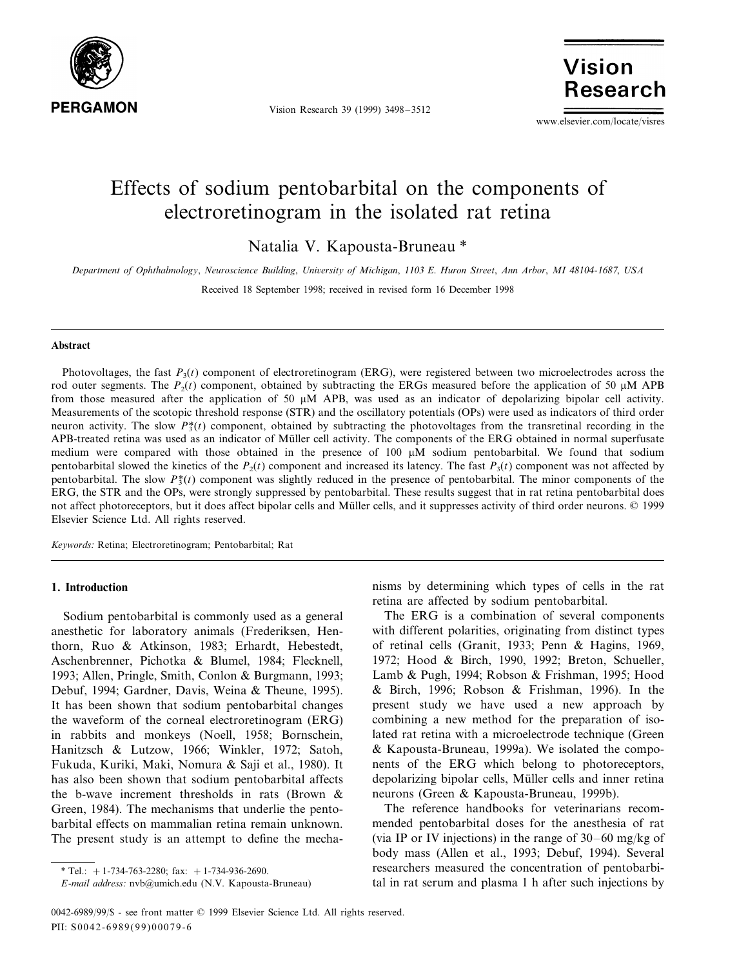

Vision Research 39 (1999) 3498–3512

Vision **Research** 

www.elsevier.com/locate/visres

# Effects of sodium pentobarbital on the components of electroretinogram in the isolated rat retina

Natalia V. Kapousta-Bruneau \*

*Department of Ophthalmology*, *Neuroscience Building*, *Uni*6*ersity of Michigan*, <sup>1103</sup> *E*. *Huron Street*, *Ann Arbor*, *MI* <sup>48104</sup>-1687, *USA*

Received 18 September 1998; received in revised form 16 December 1998

#### **Abstract**

Photovoltages, the fast  $P_3(t)$  component of electroretinogram (ERG), were registered between two microelectrodes across the rod outer segments. The  $P_2(t)$  component, obtained by subtracting the ERGs measured before the application of 50  $\mu$ M APB from those measured after the application of 50  $\mu$ M APB, was used as an indicator of depolarizing bipolar cell activity. Measurements of the scotopic threshold response (STR) and the oscillatory potentials (OPs) were used as indicators of third order neuron activity. The slow  $P_3^*(t)$  component, obtained by subtracting the photovoltages from the transretinal recording in the APB-treated retina was used as an indicator of Müller cell activity. The components of the ERG obtained in normal superfusate medium were compared with those obtained in the presence of 100  $\mu$ M sodium pentobarbital. We found that sodium pentobarbital slowed the kinetics of the  $P_2(t)$  component and increased its latency. The fast  $P_3(t)$  component was not affected by pentobarbital. The slow  $P_3^*(t)$  component was slightly reduced in the presence of pentobarbital. The minor components of the ERG, the STR and the OPs, were strongly suppressed by pentobarbital. These results suggest that in rat retina pentobarbital does not affect photoreceptors, but it does affect bipolar cells and Müller cells, and it suppresses activity of third order neurons. © 1999 Elsevier Science Ltd. All rights reserved.

*Keywords*: Retina; Electroretinogram; Pentobarbital; Rat

#### **1. Introduction**

Sodium pentobarbital is commonly used as a general anesthetic for laboratory animals (Frederiksen, Henthorn, Ruo & Atkinson, 1983; Erhardt, Hebestedt, Aschenbrenner, Pichotka & Blumel, 1984; Flecknell, 1993; Allen, Pringle, Smith, Conlon & Burgmann, 1993; Debuf, 1994; Gardner, Davis, Weina & Theune, 1995). It has been shown that sodium pentobarbital changes the waveform of the corneal electroretinogram (ERG) in rabbits and monkeys (Noell, 1958; Bornschein, Hanitzsch & Lutzow, 1966; Winkler, 1972; Satoh, Fukuda, Kuriki, Maki, Nomura & Saji et al., 1980). It has also been shown that sodium pentobarbital affects the b-wave increment thresholds in rats (Brown & Green, 1984). The mechanisms that underlie the pentobarbital effects on mammalian retina remain unknown. The present study is an attempt to define the mechanisms by determining which types of cells in the rat retina are affected by sodium pentobarbital.

The ERG is a combination of several components with different polarities, originating from distinct types of retinal cells (Granit, 1933; Penn & Hagins, 1969, 1972; Hood & Birch, 1990, 1992; Breton, Schueller, Lamb & Pugh, 1994; Robson & Frishman, 1995; Hood & Birch, 1996; Robson & Frishman, 1996). In the present study we have used a new approach by combining a new method for the preparation of isolated rat retina with a microelectrode technique (Green & Kapousta-Bruneau, 1999a). We isolated the components of the ERG which belong to photoreceptors, depolarizing bipolar cells, Müller cells and inner retina neurons (Green & Kapousta-Bruneau, 1999b).

The reference handbooks for veterinarians recommended pentobarbital doses for the anesthesia of rat (via IP or IV injections) in the range of 30–60 mg/kg of body mass (Allen et al., 1993; Debuf, 1994). Several researchers measured the concentration of pentobarbital in rat serum and plasma 1 h after such injections by

<sup>\*</sup> Tel.:  $+1-734-763-2280$ ; fax:  $+1-734-936-2690$ .

*E*-*mail address*: nvb@umich.edu (N.V. Kapousta-Bruneau)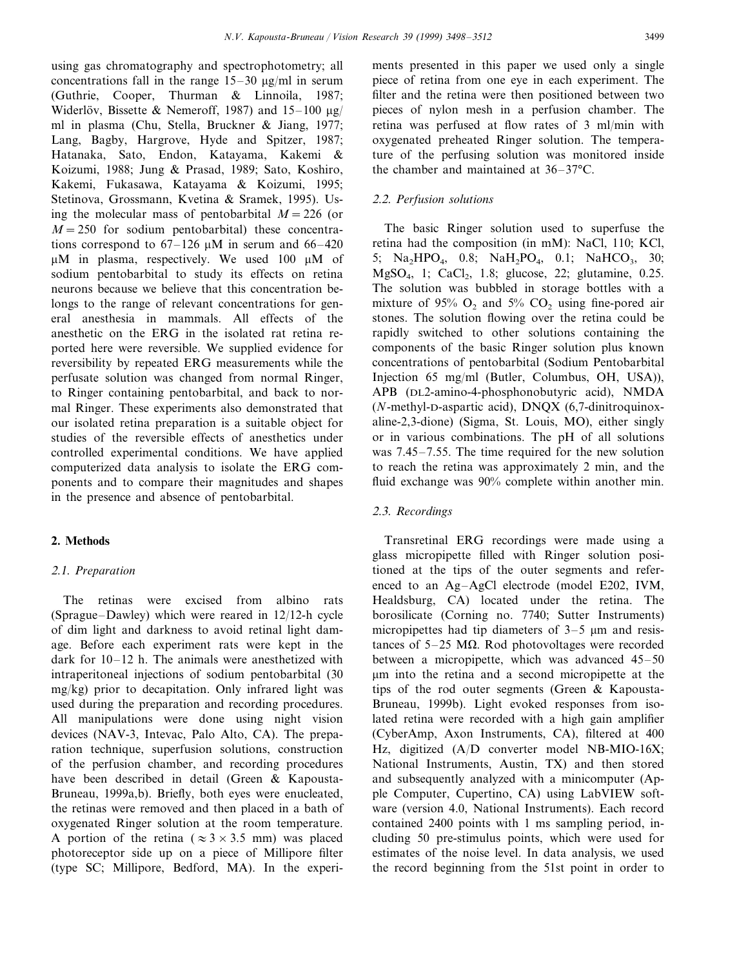using gas chromatography and spectrophotometry; all concentrations fall in the range  $15-30 \mu g/ml$  in serum (Guthrie, Cooper, Thurman & Linnoila, 1987; Widerlöv, Bissette & Nemeroff, 1987) and  $15-100 \text{ µg}$ ml in plasma (Chu, Stella, Bruckner & Jiang, 1977; Lang, Bagby, Hargrove, Hyde and Spitzer, 1987; Hatanaka, Sato, Endon, Katayama, Kakemi & Koizumi, 1988; Jung & Prasad, 1989; Sato, Koshiro, Kakemi, Fukasawa, Katayama & Koizumi, 1995; Stetinova, Grossmann, Kvetina & Sramek, 1995). Using the molecular mass of pentobarbital  $M = 226$  (or  $M = 250$  for sodium pentobarbital) these concentrations correspond to  $67-126 \mu M$  in serum and  $66-420$  $\mu$ M in plasma, respectively. We used 100  $\mu$ M of sodium pentobarbital to study its effects on retina neurons because we believe that this concentration belongs to the range of relevant concentrations for general anesthesia in mammals. All effects of the anesthetic on the ERG in the isolated rat retina reported here were reversible. We supplied evidence for reversibility by repeated ERG measurements while the perfusate solution was changed from normal Ringer, to Ringer containing pentobarbital, and back to normal Ringer. These experiments also demonstrated that our isolated retina preparation is a suitable object for studies of the reversible effects of anesthetics under controlled experimental conditions. We have applied computerized data analysis to isolate the ERG components and to compare their magnitudes and shapes in the presence and absence of pentobarbital.

# **2. Methods**

## <sup>2</sup>.1. *Preparation*

The retinas were excised from albino rats (Sprague–Dawley) which were reared in 12/12-h cycle of dim light and darkness to avoid retinal light damage. Before each experiment rats were kept in the dark for 10–12 h. The animals were anesthetized with intraperitoneal injections of sodium pentobarbital (30 mg/kg) prior to decapitation. Only infrared light was used during the preparation and recording procedures. All manipulations were done using night vision devices (NAV-3, Intevac, Palo Alto, CA). The preparation technique, superfusion solutions, construction of the perfusion chamber, and recording procedures have been described in detail (Green & Kapousta-Bruneau, 1999a,b). Briefly, both eyes were enucleated, the retinas were removed and then placed in a bath of oxygenated Ringer solution at the room temperature. A portion of the retina ( $\approx 3 \times 3.5$  mm) was placed photoreceptor side up on a piece of Millipore filter (type SC; Millipore, Bedford, MA). In the experiments presented in this paper we used only a single piece of retina from one eye in each experiment. The filter and the retina were then positioned between two pieces of nylon mesh in a perfusion chamber. The retina was perfused at flow rates of 3 ml/min with oxygenated preheated Ringer solution. The temperature of the perfusing solution was monitored inside the chamber and maintained at 36–37°C.

## <sup>2</sup>.2. *Perfusion solutions*

The basic Ringer solution used to superfuse the retina had the composition (in mM): NaCl, 110; KCl, 5; Na<sub>2</sub>HPO<sub>4</sub>, 0.8; NaH<sub>2</sub>PO<sub>4</sub>, 0.1; NaHCO<sub>3</sub>, 30;  $MgSO_4$ , 1;  $CaCl_2$ , 1.8; glucose, 22; glutamine, 0.25. The solution was bubbled in storage bottles with a mixture of 95%  $O_2$  and 5%  $CO_2$  using fine-pored air stones. The solution flowing over the retina could be rapidly switched to other solutions containing the components of the basic Ringer solution plus known concentrations of pentobarbital (Sodium Pentobarbital Injection 65 mg/ml (Butler, Columbus, OH, USA)), APB (DL2-amino-4-phosphonobutyric acid), NMDA (*N*-methyl-D-aspartic acid), DNQX (6,7-dinitroquinoxaline-2,3-dione) (Sigma, St. Louis, MO), either singly or in various combinations. The pH of all solutions was 7.45–7.55. The time required for the new solution to reach the retina was approximately 2 min, and the fluid exchange was 90% complete within another min.

## <sup>2</sup>.3. *Recordings*

Transretinal ERG recordings were made using a glass micropipette filled with Ringer solution positioned at the tips of the outer segments and referenced to an Ag–AgCl electrode (model E202, IVM, Healdsburg, CA) located under the retina. The borosilicate (Corning no. 7740; Sutter Instruments) micropipettes had tip diameters of  $3-5$  µm and resistances of  $5-25$  M $\Omega$ . Rod photovoltages were recorded between a micropipette, which was advanced 45–50 mm into the retina and a second micropipette at the tips of the rod outer segments (Green & Kapousta-Bruneau, 1999b). Light evoked responses from isolated retina were recorded with a high gain amplifier (CyberAmp, Axon Instruments, CA), filtered at 400 Hz, digitized (A/D converter model NB-MIO-16X; National Instruments, Austin, TX) and then stored and subsequently analyzed with a minicomputer (Apple Computer, Cupertino, CA) using LabVIEW software (version 4.0, National Instruments). Each record contained 2400 points with 1 ms sampling period, including 50 pre-stimulus points, which were used for estimates of the noise level. In data analysis, we used the record beginning from the 51st point in order to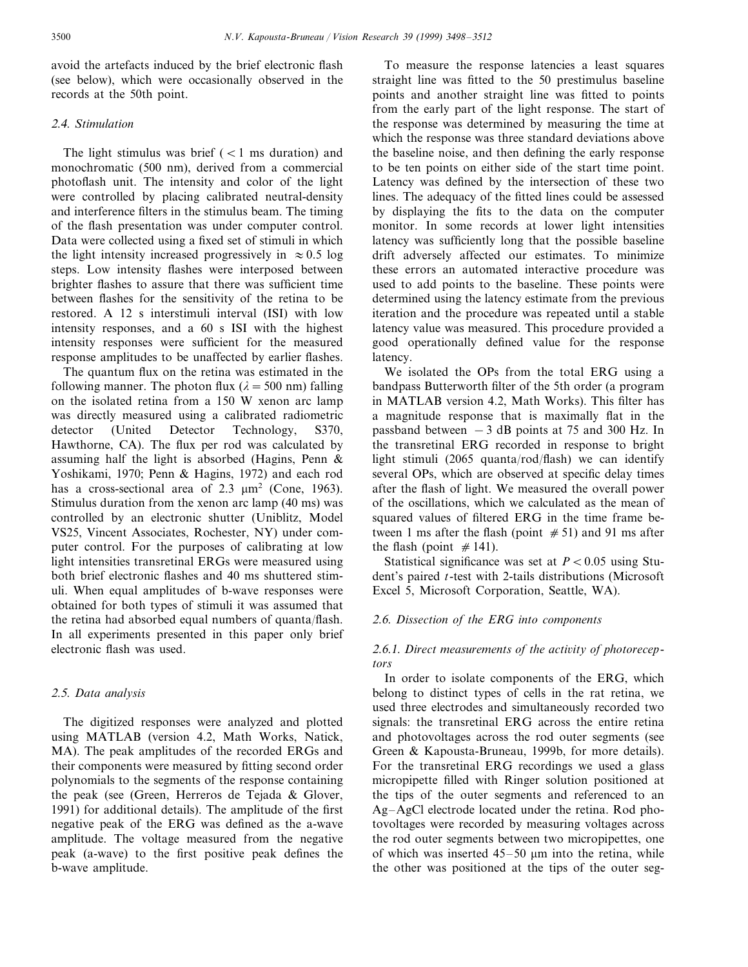avoid the artefacts induced by the brief electronic flash (see below), which were occasionally observed in the records at the 50th point.

## <sup>2</sup>.4. *Stimulation*

The light stimulus was brief  $(< 1$  ms duration) and monochromatic (500 nm), derived from a commercial photoflash unit. The intensity and color of the light were controlled by placing calibrated neutral-density and interference filters in the stimulus beam. The timing of the flash presentation was under computer control. Data were collected using a fixed set of stimuli in which the light intensity increased progressively in  $\approx 0.5$  log steps. Low intensity flashes were interposed between brighter flashes to assure that there was sufficient time between flashes for the sensitivity of the retina to be restored. A 12 s interstimuli interval (ISI) with low intensity responses, and a 60 s ISI with the highest intensity responses were sufficient for the measured response amplitudes to be unaffected by earlier flashes.

The quantum flux on the retina was estimated in the following manner. The photon flux ( $\lambda = 500$  nm) falling on the isolated retina from a 150 W xenon arc lamp was directly measured using a calibrated radiometric detector (United Detector Technology, S370, Hawthorne, CA). The flux per rod was calculated by assuming half the light is absorbed (Hagins, Penn & Yoshikami, 1970; Penn & Hagins, 1972) and each rod has a cross-sectional area of  $2.3 \text{ }\mu\text{m}^2$  (Cone, 1963). Stimulus duration from the xenon arc lamp (40 ms) was controlled by an electronic shutter (Uniblitz, Model VS25, Vincent Associates, Rochester, NY) under computer control. For the purposes of calibrating at low light intensities transretinal ERGs were measured using both brief electronic flashes and 40 ms shuttered stimuli. When equal amplitudes of b-wave responses were obtained for both types of stimuli it was assumed that the retina had absorbed equal numbers of quanta/flash. In all experiments presented in this paper only brief electronic flash was used.

### <sup>2</sup>.5. *Data analysis*

The digitized responses were analyzed and plotted using MATLAB (version 4.2, Math Works, Natick, MA). The peak amplitudes of the recorded ERGs and their components were measured by fitting second order polynomials to the segments of the response containing the peak (see (Green, Herreros de Tejada & Glover, 1991) for additional details). The amplitude of the first negative peak of the ERG was defined as the a-wave amplitude. The voltage measured from the negative peak (a-wave) to the first positive peak defines the b-wave amplitude.

To measure the response latencies a least squares straight line was fitted to the 50 prestimulus baseline points and another straight line was fitted to points from the early part of the light response. The start of the response was determined by measuring the time at which the response was three standard deviations above the baseline noise, and then defining the early response to be ten points on either side of the start time point. Latency was defined by the intersection of these two lines. The adequacy of the fitted lines could be assessed by displaying the fits to the data on the computer monitor. In some records at lower light intensities latency was sufficiently long that the possible baseline drift adversely affected our estimates. To minimize these errors an automated interactive procedure was used to add points to the baseline. These points were determined using the latency estimate from the previous iteration and the procedure was repeated until a stable latency value was measured. This procedure provided a good operationally defined value for the response latency.

We isolated the OPs from the total ERG using a bandpass Butterworth filter of the 5th order (a program in MATLAB version 4.2, Math Works). This filter has a magnitude response that is maximally flat in the passband between  $-3$  dB points at 75 and 300 Hz. In the transretinal ERG recorded in response to bright light stimuli (2065 quanta/rod/flash) we can identify several OPs, which are observed at specific delay times after the flash of light. We measured the overall power of the oscillations, which we calculated as the mean of squared values of filtered ERG in the time frame between 1 ms after the flash (point  $#51$ ) and 91 ms after the flash (point  $\#141$ ).

Statistical significance was set at  $P < 0.05$  using Student's paired *t*-test with 2-tails distributions (Microsoft Excel 5, Microsoft Corporation, Seattle, WA).

## <sup>2</sup>.6. *Dissection of the ERG into components*

## 2.6.1. Direct measurements of the activity of photorecep*tors*

In order to isolate components of the ERG, which belong to distinct types of cells in the rat retina, we used three electrodes and simultaneously recorded two signals: the transretinal ERG across the entire retina and photovoltages across the rod outer segments (see Green & Kapousta-Bruneau, 1999b, for more details). For the transretinal ERG recordings we used a glass micropipette filled with Ringer solution positioned at the tips of the outer segments and referenced to an Ag–AgCl electrode located under the retina. Rod photovoltages were recorded by measuring voltages across the rod outer segments between two micropipettes, one of which was inserted  $45-50 \mu m$  into the retina, while the other was positioned at the tips of the outer seg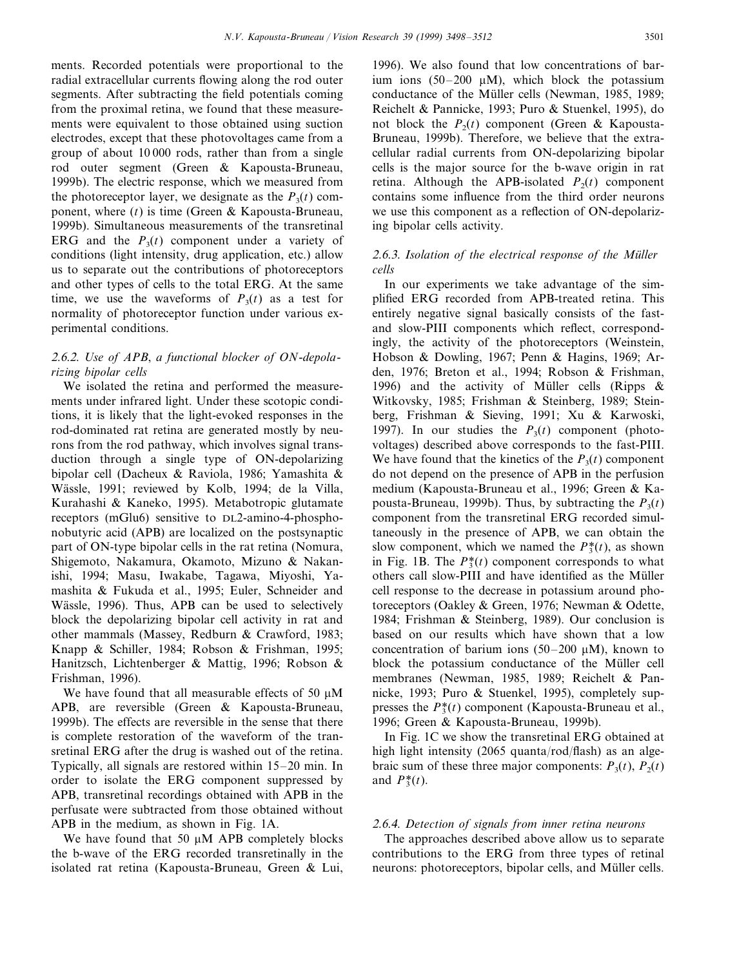ments. Recorded potentials were proportional to the radial extracellular currents flowing along the rod outer segments. After subtracting the field potentials coming from the proximal retina, we found that these measurements were equivalent to those obtained using suction electrodes, except that these photovoltages came from a group of about 10 000 rods, rather than from a single rod outer segment (Green & Kapousta-Bruneau, 1999b). The electric response, which we measured from the photoreceptor layer, we designate as the  $P_3(t)$  component, where (*t*) is time (Green & Kapousta-Bruneau, 1999b). Simultaneous measurements of the transretinal ERG and the  $P_3(t)$  component under a variety of conditions (light intensity, drug application, etc.) allow us to separate out the contributions of photoreceptors and other types of cells to the total ERG. At the same time, we use the waveforms of  $P_3(t)$  as a test for normality of photoreceptor function under various experimental conditions.

# <sup>2</sup>.6.2. *Use of APB*, *a functional blocker of ON*-*depolarizing bipolar cells*

We isolated the retina and performed the measurements under infrared light. Under these scotopic conditions, it is likely that the light-evoked responses in the rod-dominated rat retina are generated mostly by neurons from the rod pathway, which involves signal transduction through a single type of ON-depolarizing bipolar cell (Dacheux & Raviola, 1986; Yamashita & Wässle, 1991; reviewed by Kolb, 1994; de la Villa, Kurahashi & Kaneko, 1995). Metabotropic glutamate receptors (mGlu6) sensitive to DL2-amino-4-phosphonobutyric acid (APB) are localized on the postsynaptic part of ON-type bipolar cells in the rat retina (Nomura, Shigemoto, Nakamura, Okamoto, Mizuno & Nakanishi, 1994; Masu, Iwakabe, Tagawa, Miyoshi, Yamashita & Fukuda et al., 1995; Euler, Schneider and Wässle, 1996). Thus, APB can be used to selectively block the depolarizing bipolar cell activity in rat and other mammals (Massey, Redburn & Crawford, 1983; Knapp & Schiller, 1984; Robson & Frishman, 1995; Hanitzsch, Lichtenberger & Mattig, 1996; Robson & Frishman, 1996).

We have found that all measurable effects of 50  $\mu$ M APB, are reversible (Green & Kapousta-Bruneau, 1999b). The effects are reversible in the sense that there is complete restoration of the waveform of the transretinal ERG after the drug is washed out of the retina. Typically, all signals are restored within 15–20 min. In order to isolate the ERG component suppressed by APB, transretinal recordings obtained with APB in the perfusate were subtracted from those obtained without APB in the medium, as shown in Fig. 1A.

We have found that 50  $\mu$ M APB completely blocks the b-wave of the ERG recorded transretinally in the isolated rat retina (Kapousta-Bruneau, Green & Lui,

1996). We also found that low concentrations of barium ions (50–200  $\mu$ M), which block the potassium conductance of the Müller cells (Newman, 1985, 1989; Reichelt & Pannicke, 1993; Puro & Stuenkel, 1995), do not block the  $P_2(t)$  component (Green & Kapousta-Bruneau, 1999b). Therefore, we believe that the extracellular radial currents from ON-depolarizing bipolar cells is the major source for the b-wave origin in rat retina. Although the APB-isolated  $P_2(t)$  component contains some influence from the third order neurons we use this component as a reflection of ON-depolarizing bipolar cells activity.

# 2.6.3. *Isolation of the electrical response of the Müller cells*

In our experiments we take advantage of the simplified ERG recorded from APB-treated retina. This entirely negative signal basically consists of the fastand slow-PIII components which reflect, correspondingly, the activity of the photoreceptors (Weinstein, Hobson & Dowling, 1967; Penn & Hagins, 1969; Arden, 1976; Breton et al., 1994; Robson & Frishman, 1996) and the activity of Müller cells (Ripps  $\&$ Witkovsky, 1985; Frishman & Steinberg, 1989; Steinberg, Frishman & Sieving, 1991; Xu & Karwoski, 1997). In our studies the  $P_3(t)$  component (photovoltages) described above corresponds to the fast-PIII. We have found that the kinetics of the  $P_3(t)$  component do not depend on the presence of APB in the perfusion medium (Kapousta-Bruneau et al., 1996; Green & Kapousta-Bruneau, 1999b). Thus, by subtracting the  $P_3(t)$ component from the transretinal ERG recorded simultaneously in the presence of APB, we can obtain the slow component, which we named the  $P_3^*(t)$ , as shown in Fig. 1B. The  $P_2^*(t)$  component corresponds to what others call slow-PIII and have identified as the Müller cell response to the decrease in potassium around photoreceptors (Oakley & Green, 1976; Newman & Odette, 1984; Frishman & Steinberg, 1989). Our conclusion is based on our results which have shown that a low concentration of barium ions  $(50-200 \mu M)$ , known to block the potassium conductance of the Müller cell membranes (Newman, 1985, 1989; Reichelt & Pannicke, 1993; Puro & Stuenkel, 1995), completely suppresses the  $P_3^*(t)$  component (Kapousta-Bruneau et al., 1996; Green & Kapousta-Bruneau, 1999b).

In Fig. 1C we show the transretinal ERG obtained at high light intensity (2065 quanta/rod/flash) as an algebraic sum of these three major components:  $P_3(t)$ ,  $P_2(t)$ and  $P_3^*(t)$ .

#### <sup>2</sup>.6.4. *Detection of signals from inner retina neurons*

The approaches described above allow us to separate contributions to the ERG from three types of retinal neurons: photoreceptors, bipolar cells, and Müller cells.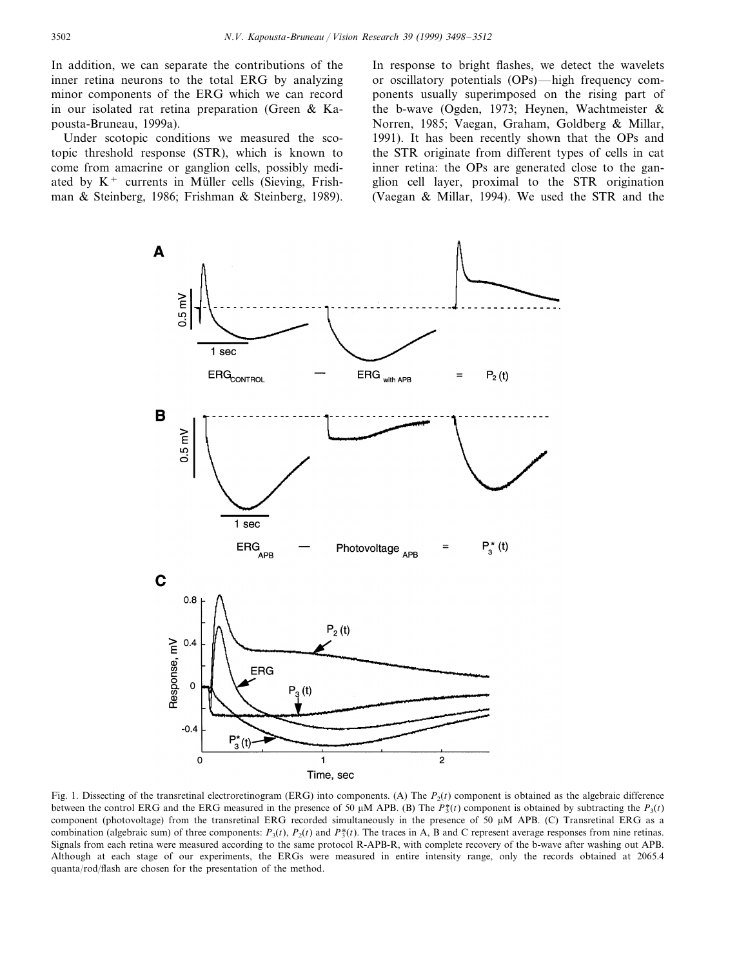In addition, we can separate the contributions of the inner retina neurons to the total ERG by analyzing minor components of the ERG which we can record in our isolated rat retina preparation (Green & Kapousta-Bruneau, 1999a).

Under scotopic conditions we measured the scotopic threshold response (STR), which is known to come from amacrine or ganglion cells, possibly mediated by  $K^+$  currents in Müller cells (Sieving, Frishman & Steinberg, 1986; Frishman & Steinberg, 1989).

In response to bright flashes, we detect the wavelets or oscillatory potentials (OPs)—high frequency components usually superimposed on the rising part of the b-wave (Ogden, 1973; Heynen, Wachtmeister & Norren, 1985; Vaegan, Graham, Goldberg & Millar, 1991). It has been recently shown that the OPs and the STR originate from different types of cells in cat inner retina: the OPs are generated close to the ganglion cell layer, proximal to the STR origination (Vaegan & Millar, 1994). We used the STR and the



Fig. 1. Dissecting of the transretinal electroretinogram (ERG) into components. (A) The  $P<sub>2</sub>(t)$  component is obtained as the algebraic difference between the control ERG and the ERG measured in the presence of 50  $\mu$ M APB. (B) The *P*<sup>\*</sup>(*t*) component is obtained by subtracting the *P*<sub>3</sub>(*t*) component (photovoltage) from the transretinal ERG recorded simultaneously in the presence of 50  $\mu$ M APB. (C) Transretinal ERG as a combination (algebraic sum) of three components:  $P_3(t)$ ,  $P_2(t)$  and  $P_3^*(t)$ . The traces in A, B and C represent average responses from nine retinas. Signals from each retina were measured according to the same protocol R-APB-R, with complete recovery of the b-wave after washing out APB. Although at each stage of our experiments, the ERGs were measured in entire intensity range, only the records obtained at 2065.4 quanta/rod/flash are chosen for the presentation of the method.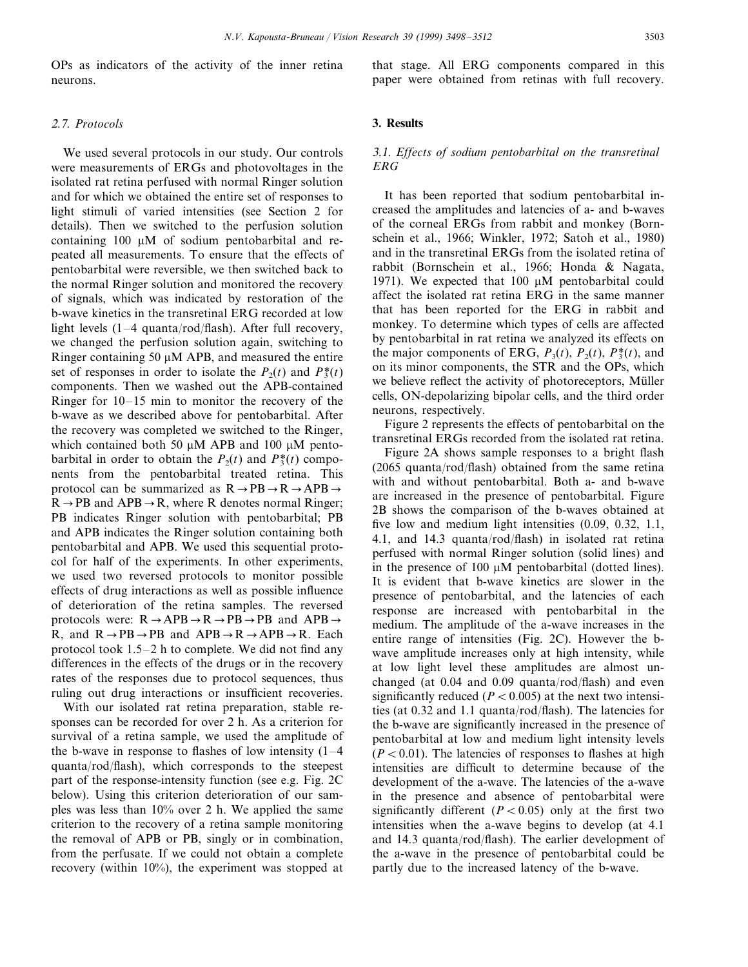OPs as indicators of the activity of the inner retina neurons.

## <sup>2</sup>.7. *Protocols*

We used several protocols in our study. Our controls were measurements of ERGs and photovoltages in the isolated rat retina perfused with normal Ringer solution and for which we obtained the entire set of responses to light stimuli of varied intensities (see Section 2 for details). Then we switched to the perfusion solution containing  $100 \mu M$  of sodium pentobarbital and repeated all measurements. To ensure that the effects of pentobarbital were reversible, we then switched back to the normal Ringer solution and monitored the recovery of signals, which was indicated by restoration of the b-wave kinetics in the transretinal ERG recorded at low light levels (1–4 quanta/rod/flash). After full recovery, we changed the perfusion solution again, switching to Ringer containing 50  $\mu$ M APB, and measured the entire set of responses in order to isolate the  $P_2(t)$  and  $P_3^*(t)$ components. Then we washed out the APB-contained Ringer for 10–15 min to monitor the recovery of the b-wave as we described above for pentobarbital. After the recovery was completed we switched to the Ringer, which contained both 50  $\mu$ M APB and 100  $\mu$ M pentobarbital in order to obtain the  $P_2(t)$  and  $P_3^*(t)$  components from the pentobarbital treated retina. This protocol can be summarized as  $R \rightarrow PB \rightarrow R \rightarrow APB \rightarrow$  $R \rightarrow PB$  and APB $\rightarrow R$ , where R denotes normal Ringer; PB indicates Ringer solution with pentobarbital; PB and APB indicates the Ringer solution containing both pentobarbital and APB. We used this sequential protocol for half of the experiments. In other experiments, we used two reversed protocols to monitor possible effects of drug interactions as well as possible influence of deterioration of the retina samples. The reversed protocols were:  $R \rightarrow APB \rightarrow R \rightarrow PB \rightarrow PB$  and  $APB \rightarrow$ R, and  $R \rightarrow PB \rightarrow PB$  and  $APB \rightarrow R \rightarrow APB \rightarrow R$ . Each protocol took 1.5–2 h to complete. We did not find any differences in the effects of the drugs or in the recovery rates of the responses due to protocol sequences, thus ruling out drug interactions or insufficient recoveries.

With our isolated rat retina preparation, stable responses can be recorded for over 2 h. As a criterion for survival of a retina sample, we used the amplitude of the b-wave in response to flashes of low intensity  $(1-4)$ quanta/rod/flash), which corresponds to the steepest part of the response-intensity function (see e.g. Fig. 2C below). Using this criterion deterioration of our samples was less than 10% over 2 h. We applied the same criterion to the recovery of a retina sample monitoring the removal of APB or PB, singly or in combination, from the perfusate. If we could not obtain a complete recovery (within 10%), the experiment was stopped at that stage. All ERG components compared in this paper were obtained from retinas with full recovery.

#### **3. Results**

## 3.1. *Effects of sodium pentobarbital on the transretinal ERG*

It has been reported that sodium pentobarbital increased the amplitudes and latencies of a- and b-waves of the corneal ERGs from rabbit and monkey (Bornschein et al., 1966; Winkler, 1972; Satoh et al., 1980) and in the transretinal ERGs from the isolated retina of rabbit (Bornschein et al., 1966; Honda & Nagata, 1971). We expected that 100  $\mu$ M pentobarbital could affect the isolated rat retina ERG in the same manner that has been reported for the ERG in rabbit and monkey. To determine which types of cells are affected by pentobarbital in rat retina we analyzed its effects on the major components of ERG,  $P_3(t)$ ,  $P_2(t)$ ,  $P_3^*(t)$ , and on its minor components, the STR and the OPs, which we believe reflect the activity of photoreceptors, Müller cells, ON-depolarizing bipolar cells, and the third order neurons, respectively.

Figure 2 represents the effects of pentobarbital on the transretinal ERGs recorded from the isolated rat retina.

Figure 2A shows sample responses to a bright flash (2065 quanta/rod/flash) obtained from the same retina with and without pentobarbital. Both a- and b-wave are increased in the presence of pentobarbital. Figure 2B shows the comparison of the b-waves obtained at five low and medium light intensities (0.09, 0.32, 1.1, 4.1, and 14.3 quanta/rod/flash) in isolated rat retina perfused with normal Ringer solution (solid lines) and in the presence of  $100 \mu M$  pentobarbital (dotted lines). It is evident that b-wave kinetics are slower in the presence of pentobarbital, and the latencies of each response are increased with pentobarbital in the medium. The amplitude of the a-wave increases in the entire range of intensities (Fig. 2C). However the bwave amplitude increases only at high intensity, while at low light level these amplitudes are almost unchanged (at 0.04 and 0.09 quanta/rod/flash) and even significantly reduced  $(P < 0.005)$  at the next two intensities (at 0.32 and 1.1 quanta/rod/flash). The latencies for the b-wave are significantly increased in the presence of pentobarbital at low and medium light intensity levels  $(P < 0.01)$ . The latencies of responses to flashes at high intensities are difficult to determine because of the development of the a-wave. The latencies of the a-wave in the presence and absence of pentobarbital were significantly different  $(P < 0.05)$  only at the first two intensities when the a-wave begins to develop (at 4.1 and 14.3 quanta/rod/flash). The earlier development of the a-wave in the presence of pentobarbital could be partly due to the increased latency of the b-wave.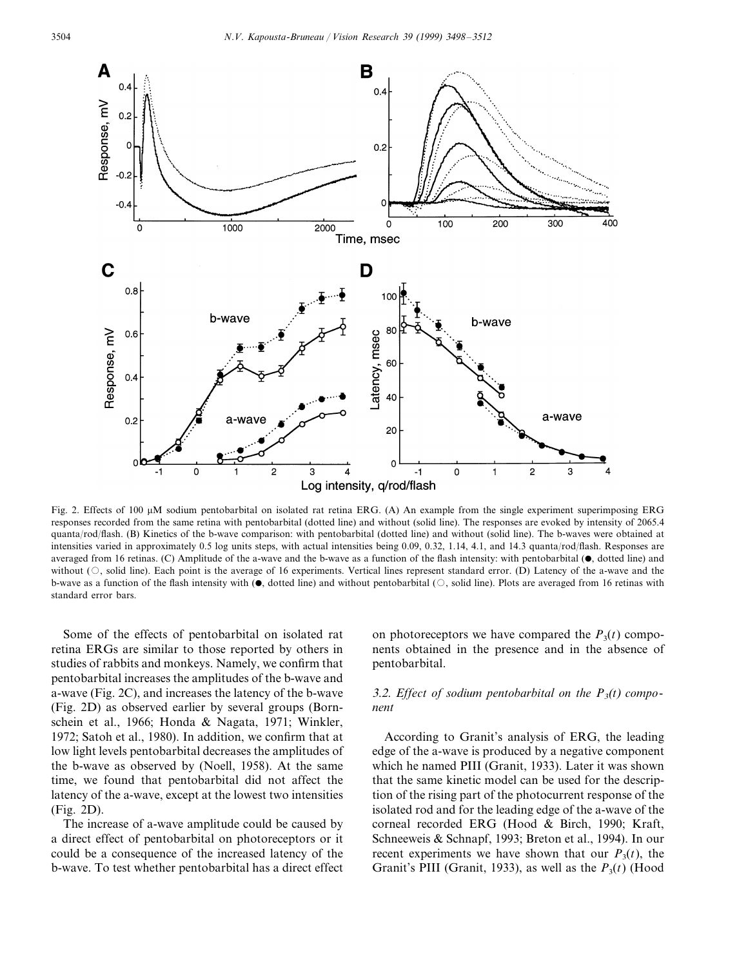

Fig. 2. Effects of 100  $\mu$ M sodium pentobarbital on isolated rat retina ERG. (A) An example from the single experiment superimposing ERG responses recorded from the same retina with pentobarbital (dotted line) and without (solid line). The responses are evoked by intensity of 2065.4 quanta/rod/flash. (B) Kinetics of the b-wave comparison: with pentobarbital (dotted line) and without (solid line). The b-waves were obtained at intensities varied in approximately 0.5 log units steps, with actual intensities being 0.09, 0.32, 1.14, 4.1, and 14.3 quanta/rod/flash. Responses are averaged from 16 retinas. (C) Amplitude of the a-wave and the b-wave as a function of the flash intensity: with pentobarbital  $(\bullet)$ , dotted line) and without  $(\bigcirc$ , solid line). Each point is the average of 16 experiments. Vertical lines represent standard error. (D) Latency of the a-wave and the b-wave as a function of the flash intensity with  $(\bullet,$  dotted line) and without pentobarbital  $(\circ)$ , solid line). Plots are averaged from 16 retinas with standard error bars.

Some of the effects of pentobarbital on isolated rat retina ERGs are similar to those reported by others in studies of rabbits and monkeys. Namely, we confirm that pentobarbital increases the amplitudes of the b-wave and a-wave (Fig. 2C), and increases the latency of the b-wave (Fig. 2D) as observed earlier by several groups (Bornschein et al., 1966; Honda & Nagata, 1971; Winkler, 1972; Satoh et al., 1980). In addition, we confirm that at low light levels pentobarbital decreases the amplitudes of the b-wave as observed by (Noell, 1958). At the same time, we found that pentobarbital did not affect the latency of the a-wave, except at the lowest two intensities (Fig. 2D).

The increase of a-wave amplitude could be caused by a direct effect of pentobarbital on photoreceptors or it could be a consequence of the increased latency of the b-wave. To test whether pentobarbital has a direct effect on photoreceptors we have compared the  $P_3(t)$  components obtained in the presence and in the absence of pentobarbital.

## 3.2. *Effect of sodium pentobarbital on the P*3(*t*) *component*

According to Granit's analysis of ERG, the leading edge of the a-wave is produced by a negative component which he named PIII (Granit, 1933). Later it was shown that the same kinetic model can be used for the description of the rising part of the photocurrent response of the isolated rod and for the leading edge of the a-wave of the corneal recorded ERG (Hood & Birch, 1990; Kraft, Schneeweis & Schnapf, 1993; Breton et al., 1994). In our recent experiments we have shown that our  $P_3(t)$ , the Granit's PIII (Granit, 1933), as well as the  $P_3(t)$  (Hood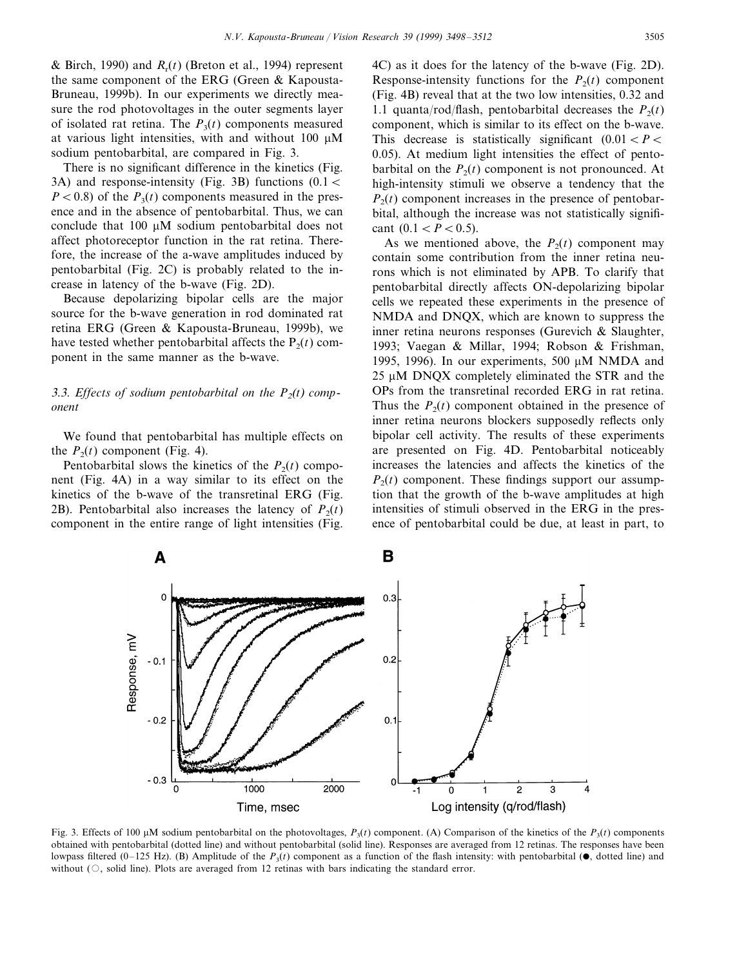& Birch, 1990) and  $R_r(t)$  (Breton et al., 1994) represent the same component of the ERG (Green & Kapousta-Bruneau, 1999b). In our experiments we directly measure the rod photovoltages in the outer segments layer of isolated rat retina. The  $P_3(t)$  components measured at various light intensities, with and without  $100 \mu M$ sodium pentobarbital, are compared in Fig. 3.

There is no significant difference in the kinetics (Fig. 3A) and response-intensity (Fig. 3B) functions  $(0.1 <$  $P < 0.8$ ) of the  $P_3(t)$  components measured in the presence and in the absence of pentobarbital. Thus, we can conclude that  $100 \mu M$  sodium pentobarbital does not affect photoreceptor function in the rat retina. Therefore, the increase of the a-wave amplitudes induced by pentobarbital (Fig. 2C) is probably related to the increase in latency of the b-wave (Fig. 2D).

Because depolarizing bipolar cells are the major source for the b-wave generation in rod dominated rat retina ERG (Green & Kapousta-Bruneau, 1999b), we have tested whether pentobarbital affects the  $P_2(t)$  component in the same manner as the b-wave.

## 3.3. *Effects of sodium pentobarbital on the*  $P_2(t)$  *component*

We found that pentobarbital has multiple effects on the  $P_2(t)$  component (Fig. 4).

Pentobarbital slows the kinetics of the  $P_2(t)$  component (Fig. 4A) in a way similar to its effect on the kinetics of the b-wave of the transretinal ERG (Fig. 2B). Pentobarbital also increases the latency of  $P_2(t)$ component in the entire range of light intensities (Fig.

4C) as it does for the latency of the b-wave (Fig. 2D). Response-intensity functions for the  $P_2(t)$  component (Fig. 4B) reveal that at the two low intensities, 0.32 and 1.1 quanta/rod/flash, pentobarbital decreases the  $P_2(t)$ component, which is similar to its effect on the b-wave. This decrease is statistically significant  $(0.01 < P <$ 0.05). At medium light intensities the effect of pentobarbital on the  $P_2(t)$  component is not pronounced. At high-intensity stimuli we observe a tendency that the  $P_2(t)$  component increases in the presence of pentobarbital, although the increase was not statistically significant  $(0.1 < P < 0.5)$ .

As we mentioned above, the  $P_2(t)$  component may contain some contribution from the inner retina neurons which is not eliminated by APB. To clarify that pentobarbital directly affects ON-depolarizing bipolar cells we repeated these experiments in the presence of NMDA and DNQX, which are known to suppress the inner retina neurons responses (Gurevich & Slaughter, 1993; Vaegan & Millar, 1994; Robson & Frishman, 1995, 1996). In our experiments, 500  $\mu$ M NMDA and 25 µM DNOX completely eliminated the STR and the OPs from the transretinal recorded ERG in rat retina. Thus the  $P_2(t)$  component obtained in the presence of inner retina neurons blockers supposedly reflects only bipolar cell activity. The results of these experiments are presented on Fig. 4D. Pentobarbital noticeably increases the latencies and affects the kinetics of the  $P_2(t)$  component. These findings support our assumption that the growth of the b-wave amplitudes at high intensities of stimuli observed in the ERG in the presence of pentobarbital could be due, at least in part, to



Fig. 3. Effects of 100  $\mu$ M sodium pentobarbital on the photovoltages,  $P_3(t)$  component. (A) Comparison of the kinetics of the  $P_3(t)$  components obtained with pentobarbital (dotted line) and without pentobarbital (solid line). Responses are averaged from 12 retinas. The responses have been lowpass filtered (0–125 Hz). (B) Amplitude of the  $P_3(t)$  component as a function of the flash intensity: with pentobarbital ( $\bullet$ , dotted line) and without  $(\circ)$ , solid line). Plots are averaged from 12 retinas with bars indicating the standard error.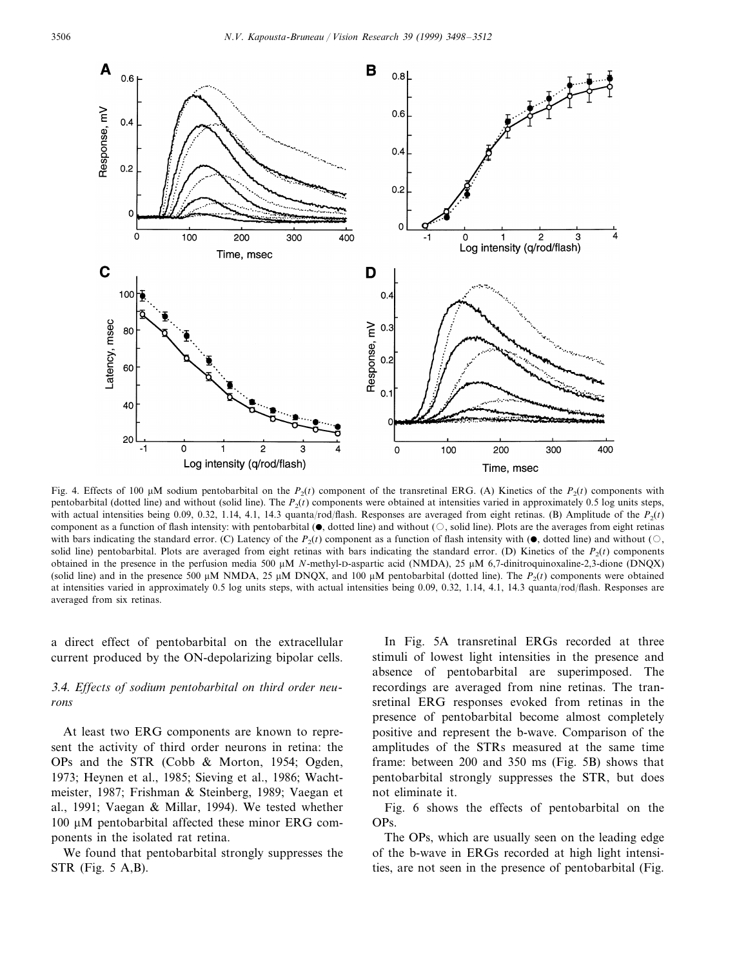

Fig. 4. Effects of 100  $\mu$ M sodium pentobarbital on the  $P_2(t)$  component of the transretinal ERG. (A) Kinetics of the  $P_2(t)$  components with pentobarbital (dotted line) and without (solid line). The *P*2(*t*) components were obtained at intensities varied in approximately 0.5 log units steps, with actual intensities being 0.09, 0.32, 1.14, 4.1, 14.3 quanta/rod/flash. Responses are averaged from eight retinas. (B) Amplitude of the  $P_2(t)$ component as a function of flash intensity: with pentobarbital  $(\bullet)$ , dotted line) and without  $(\circ)$ , solid line). Plots are the averages from eight retinas with bars indicating the standard error. (C) Latency of the  $P_2(t)$  component as a function of flash intensity with ( $\bullet$ , dotted line) and without ( $\circ$ , solid line) pentobarbital. Plots are averaged from eight retinas with bars indicating the standard error. (D) Kinetics of the  $P_2(t)$  components obtained in the presence in the perfusion media 500 µM *N*-methyl-D-aspartic acid (NMDA), 25 µM 6,7-dinitroquinoxaline-2,3-dione (DNQX) (solid line) and in the presence 500  $\mu$ M NMDA, 25  $\mu$ M DNQX, and 100  $\mu$ M pentobarbital (dotted line). The  $P_2(t)$  components were obtained at intensities varied in approximately 0.5 log units steps, with actual intensities being 0.09, 0.32, 1.14, 4.1, 14.3 quanta/rod/flash. Responses are averaged from six retinas.

a direct effect of pentobarbital on the extracellular current produced by the ON-depolarizing bipolar cells.

## 3.4. *Effects of sodium pentobarbital on third order neurons*

At least two ERG components are known to represent the activity of third order neurons in retina: the OPs and the STR (Cobb & Morton, 1954; Ogden, 1973; Heynen et al., 1985; Sieving et al., 1986; Wachtmeister, 1987; Frishman & Steinberg, 1989; Vaegan et al., 1991; Vaegan & Millar, 1994). We tested whether 100 µM pentobarbital affected these minor ERG components in the isolated rat retina.

We found that pentobarbital strongly suppresses the STR (Fig. 5 A,B).

In Fig. 5A transretinal ERGs recorded at three stimuli of lowest light intensities in the presence and absence of pentobarbital are superimposed. The recordings are averaged from nine retinas. The transretinal ERG responses evoked from retinas in the presence of pentobarbital become almost completely positive and represent the b-wave. Comparison of the amplitudes of the STRs measured at the same time frame: between 200 and 350 ms (Fig. 5B) shows that pentobarbital strongly suppresses the STR, but does not eliminate it.

Fig. 6 shows the effects of pentobarbital on the OPs.

The OPs, which are usually seen on the leading edge of the b-wave in ERGs recorded at high light intensities, are not seen in the presence of pentobarbital (Fig.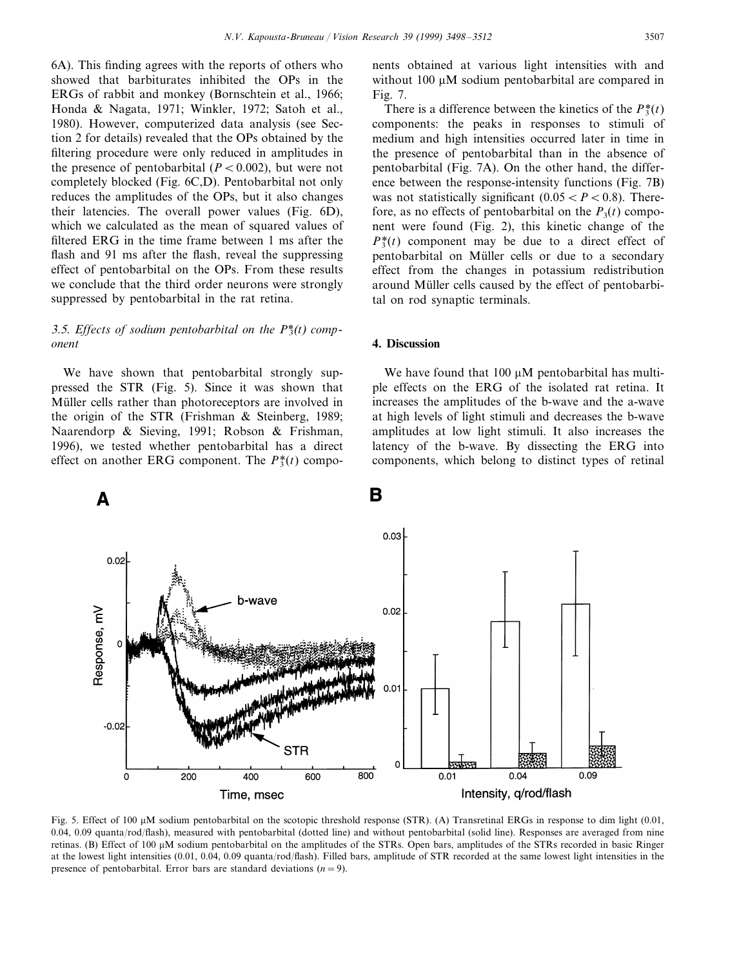6A). This finding agrees with the reports of others who showed that barbiturates inhibited the OPs in the ERGs of rabbit and monkey (Bornschtein et al., 1966; Honda & Nagata, 1971; Winkler, 1972; Satoh et al., 1980). However, computerized data analysis (see Section 2 for details) revealed that the OPs obtained by the filtering procedure were only reduced in amplitudes in the presence of pentobarbital  $(P < 0.002)$ , but were not completely blocked (Fig. 6C,D). Pentobarbital not only reduces the amplitudes of the OPs, but it also changes their latencies. The overall power values (Fig. 6D), which we calculated as the mean of squared values of filtered ERG in the time frame between 1 ms after the flash and 91 ms after the flash, reveal the suppressing effect of pentobarbital on the OPs. From these results we conclude that the third order neurons were strongly suppressed by pentobarbital in the rat retina.

# 3.5. *Effects of sodium pentobarbital on the P\**3(*t*) *component*

We have shown that pentobarbital strongly suppressed the STR (Fig. 5). Since it was shown that Müller cells rather than photoreceptors are involved in the origin of the STR (Frishman & Steinberg, 1989; Naarendorp & Sieving, 1991; Robson & Frishman, 1996), we tested whether pentobarbital has a direct effect on another ERG component. The  $P_3^*(t)$  components obtained at various light intensities with and without  $100 \mu M$  sodium pentobarbital are compared in Fig. 7.

There is a difference between the kinetics of the  $P_3^*(t)$ components: the peaks in responses to stimuli of medium and high intensities occurred later in time in the presence of pentobarbital than in the absence of pentobarbital (Fig. 7A). On the other hand, the difference between the response-intensity functions (Fig. 7B) was not statistically significant  $(0.05 < P < 0.8)$ . Therefore, as no effects of pentobarbital on the  $P_3(t)$  component were found (Fig. 2), this kinetic change of the  $P_3^*(t)$  component may be due to a direct effect of pentobarbital on Müller cells or due to a secondary effect from the changes in potassium redistribution around Müller cells caused by the effect of pentobarbital on rod synaptic terminals.

#### **4. Discussion**

We have found that  $100 \mu M$  pentobarbital has multiple effects on the ERG of the isolated rat retina. It increases the amplitudes of the b-wave and the a-wave at high levels of light stimuli and decreases the b-wave amplitudes at low light stimuli. It also increases the latency of the b-wave. By dissecting the ERG into components, which belong to distinct types of retinal



Fig. 5. Effect of 100  $\mu$ M sodium pentobarbital on the scotopic threshold response (STR). (A) Transretinal ERGs in response to dim light (0.01, 0.04, 0.09 quanta/rod/flash), measured with pentobarbital (dotted line) and without pentobarbital (solid line). Responses are averaged from nine retinas. (B) Effect of 100 µM sodium pentobarbital on the amplitudes of the STRs. Open bars, amplitudes of the STRs recorded in basic Ringer at the lowest light intensities (0.01, 0.04, 0.09 quanta/rod/flash). Filled bars, amplitude of STR recorded at the same lowest light intensities in the presence of pentobarbital. Error bars are standard deviations  $(n=9)$ .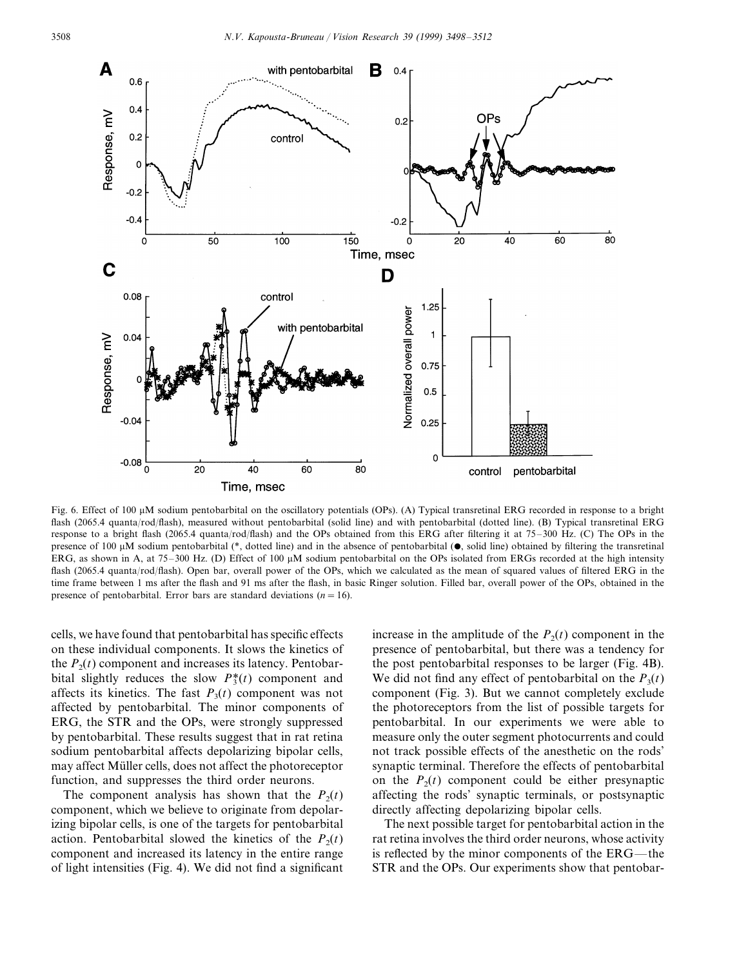

Fig. 6. Effect of 100  $\mu$ M sodium pentobarbital on the oscillatory potentials (OPs). (A) Typical transretinal ERG recorded in response to a bright flash (2065.4 quanta/rod/flash), measured without pentobarbital (solid line) and with pentobarbital (dotted line). (B) Typical transretinal ERG response to a bright flash (2065.4 quanta/rod/flash) and the OPs obtained from this ERG after filtering it at 75–300 Hz. (C) The OPs in the presence of 100  $\mu$ M sodium pentobarbital (\*, dotted line) and in the absence of pentobarbital ( $\bullet$ , solid line) obtained by filtering the transretinal ERG, as shown in A, at 75–300 Hz. (D) Effect of 100  $\mu$ M sodium pentobarbital on the OPs isolated from ERGs recorded at the high intensity flash (2065.4 quanta/rod/flash). Open bar, overall power of the OPs, which we calculated as the mean of squared values of filtered ERG in the time frame between 1 ms after the flash and 91 ms after the flash, in basic Ringer solution. Filled bar, overall power of the OPs, obtained in the presence of pentobarbital. Error bars are standard deviations  $(n = 16)$ .

cells, we have found that pentobarbital has specific effects on these individual components. It slows the kinetics of the  $P_2(t)$  component and increases its latency. Pentobarbital slightly reduces the slow  $P_3^*(t)$  component and affects its kinetics. The fast  $P_3(t)$  component was not affected by pentobarbital. The minor components of ERG, the STR and the OPs, were strongly suppressed by pentobarbital. These results suggest that in rat retina sodium pentobarbital affects depolarizing bipolar cells, may affect Müller cells, does not affect the photoreceptor function, and suppresses the third order neurons.

The component analysis has shown that the  $P_2(t)$ component, which we believe to originate from depolarizing bipolar cells, is one of the targets for pentobarbital action. Pentobarbital slowed the kinetics of the  $P_2(t)$ component and increased its latency in the entire range of light intensities (Fig. 4). We did not find a significant

increase in the amplitude of the  $P_2(t)$  component in the presence of pentobarbital, but there was a tendency for the post pentobarbital responses to be larger (Fig. 4B). We did not find any effect of pentobarbital on the  $P_3(t)$ component (Fig. 3). But we cannot completely exclude the photoreceptors from the list of possible targets for pentobarbital. In our experiments we were able to measure only the outer segment photocurrents and could not track possible effects of the anesthetic on the rods' synaptic terminal. Therefore the effects of pentobarbital on the  $P_2(t)$  component could be either presynaptic affecting the rods' synaptic terminals, or postsynaptic directly affecting depolarizing bipolar cells.

The next possible target for pentobarbital action in the rat retina involves the third order neurons, whose activity is reflected by the minor components of the ERG—the STR and the OPs. Our experiments show that pentobar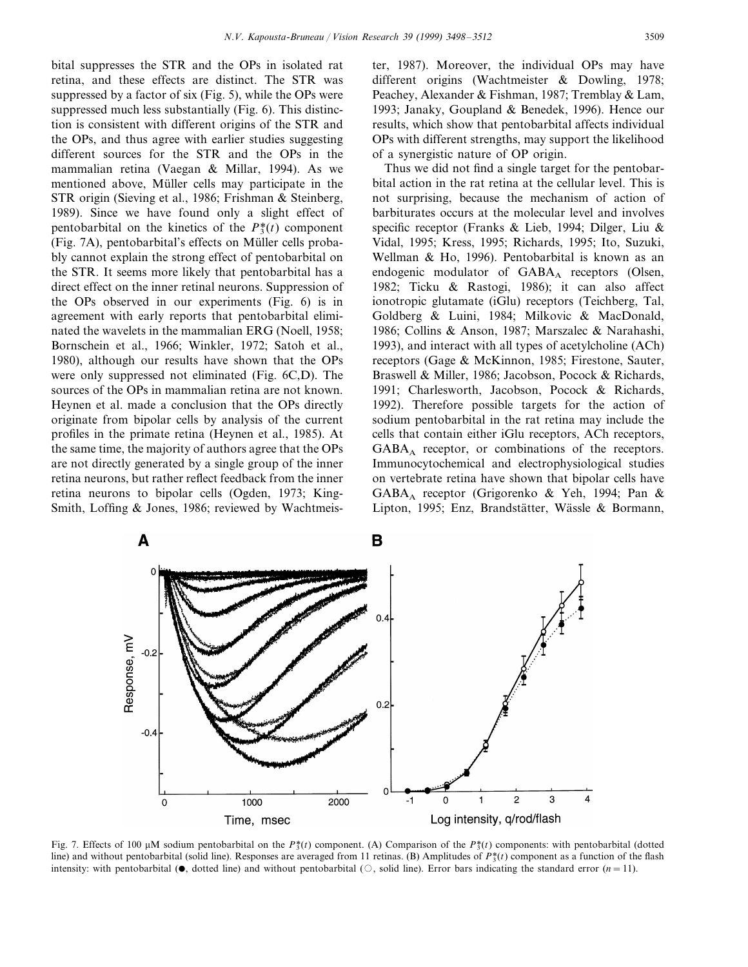bital suppresses the STR and the OPs in isolated rat retina, and these effects are distinct. The STR was suppressed by a factor of six (Fig. 5), while the OPs were suppressed much less substantially (Fig. 6). This distinction is consistent with different origins of the STR and the OPs, and thus agree with earlier studies suggesting different sources for the STR and the OPs in the mammalian retina (Vaegan & Millar, 1994). As we mentioned above, Müller cells may participate in the STR origin (Sieving et al., 1986; Frishman & Steinberg, 1989). Since we have found only a slight effect of pentobarbital on the kinetics of the  $P_3^*(t)$  component  $(Fig. 7A)$ , pentobarbital's effects on Müller cells probably cannot explain the strong effect of pentobarbital on the STR. It seems more likely that pentobarbital has a direct effect on the inner retinal neurons. Suppression of the OPs observed in our experiments (Fig. 6) is in agreement with early reports that pentobarbital eliminated the wavelets in the mammalian ERG (Noell, 1958; Bornschein et al., 1966; Winkler, 1972; Satoh et al., 1980), although our results have shown that the OPs were only suppressed not eliminated (Fig. 6C,D). The sources of the OPs in mammalian retina are not known. Heynen et al. made a conclusion that the OPs directly originate from bipolar cells by analysis of the current profiles in the primate retina (Heynen et al., 1985). At the same time, the majority of authors agree that the OPs are not directly generated by a single group of the inner retina neurons, but rather reflect feedback from the inner retina neurons to bipolar cells (Ogden, 1973; King-Smith, Loffing & Jones, 1986; reviewed by Wachtmeis-

ter, 1987). Moreover, the individual OPs may have different origins (Wachtmeister & Dowling, 1978; Peachey, Alexander & Fishman, 1987; Tremblay & Lam, 1993; Janaky, Goupland & Benedek, 1996). Hence our results, which show that pentobarbital affects individual OPs with different strengths, may support the likelihood of a synergistic nature of OP origin.

Thus we did not find a single target for the pentobarbital action in the rat retina at the cellular level. This is not surprising, because the mechanism of action of barbiturates occurs at the molecular level and involves specific receptor (Franks & Lieb, 1994; Dilger, Liu & Vidal, 1995; Kress, 1995; Richards, 1995; Ito, Suzuki, Wellman & Ho, 1996). Pentobarbital is known as an endogenic modulator of  $GABA_A$  receptors (Olsen, 1982; Ticku & Rastogi, 1986); it can also affect ionotropic glutamate (iGlu) receptors (Teichberg, Tal, Goldberg & Luini, 1984; Milkovic & MacDonald, 1986; Collins & Anson, 1987; Marszalec & Narahashi, 1993), and interact with all types of acetylcholine (ACh) receptors (Gage & McKinnon, 1985; Firestone, Sauter, Braswell & Miller, 1986; Jacobson, Pocock & Richards, 1991; Charlesworth, Jacobson, Pocock & Richards, 1992). Therefore possible targets for the action of sodium pentobarbital in the rat retina may include the cells that contain either iGlu receptors, ACh receptors,  $GABA_A$  receptor, or combinations of the receptors. Immunocytochemical and electrophysiological studies on vertebrate retina have shown that bipolar cells have GABAA receptor (Grigorenko & Yeh, 1994; Pan & Lipton, 1995; Enz, Brandstätter, Wässle & Bormann,



Fig. 7. Effects of 100  $\mu$ M sodium pentobarbital on the *P*<sup>\*</sup>(*t*) component. (A) Comparison of the *P*<sup>\*</sup>(*t*) components: with pentobarbital (dotted line) and without pentobarbital (solid line). Responses are averaged from 11 retinas. (B) Amplitudes of  $P_2^*(t)$  component as a function of the flash intensity: with pentobarbital ( $\bullet$ , dotted line) and without pentobarbital ( $\circ$ , solid line). Error bars indicating the standard error (*n*=11).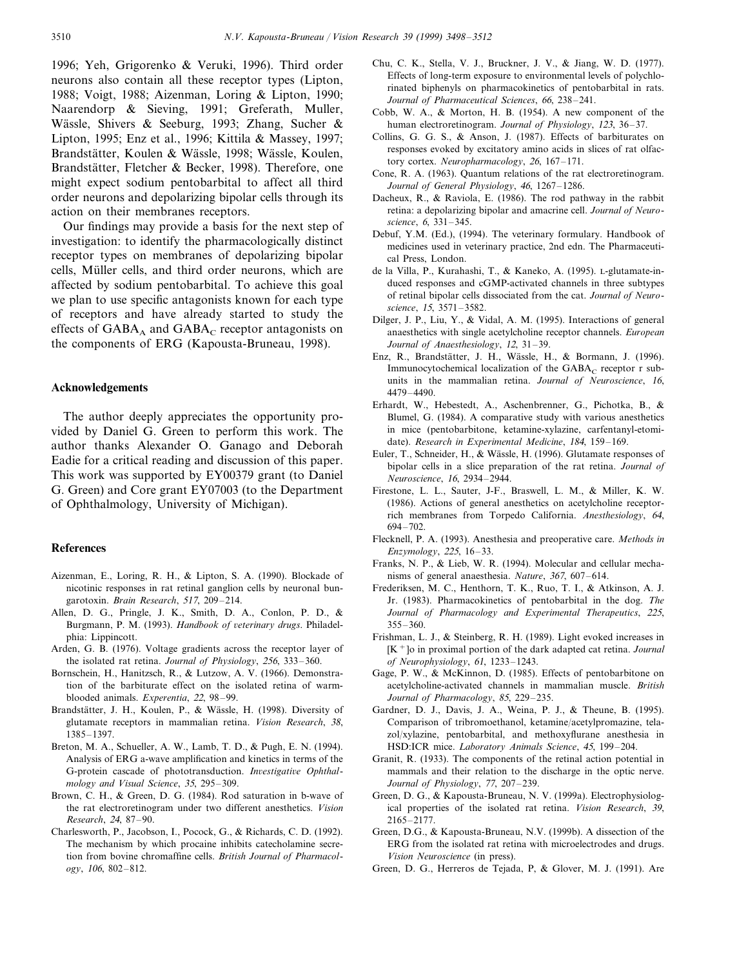1996; Yeh, Grigorenko & Veruki, 1996). Third order neurons also contain all these receptor types (Lipton, 1988; Voigt, 1988; Aizenman, Loring & Lipton, 1990; Naarendorp & Sieving, 1991; Greferath, Muller, Wässle, Shivers & Seeburg, 1993; Zhang, Sucher & Lipton, 1995; Enz et al., 1996; Kittila & Massey, 1997; Brandstätter, Koulen & Wässle, 1998; Wässle, Koulen, Brandstätter, Fletcher & Becker, 1998). Therefore, one might expect sodium pentobarbital to affect all third order neurons and depolarizing bipolar cells through its action on their membranes receptors.

Our findings may provide a basis for the next step of investigation: to identify the pharmacologically distinct receptor types on membranes of depolarizing bipolar cells, Müller cells, and third order neurons, which are affected by sodium pentobarbital. To achieve this goal we plan to use specific antagonists known for each type of receptors and have already started to study the effects of  $GABA_A$  and  $GABA_C$  receptor antagonists on the components of ERG (Kapousta-Bruneau, 1998).

#### **Acknowledgements**

The author deeply appreciates the opportunity provided by Daniel G. Green to perform this work. The author thanks Alexander O. Ganago and Deborah Eadie for a critical reading and discussion of this paper. This work was supported by EY00379 grant (to Daniel G. Green) and Core grant EY07003 (to the Department of Ophthalmology, University of Michigan).

#### **References**

- Aizenman, E., Loring, R. H., & Lipton, S. A. (1990). Blockade of nicotinic responses in rat retinal ganglion cells by neuronal bungarotoxin. *Brain Research*, 517, 209–214.
- Allen, D. G., Pringle, J. K., Smith, D. A., Conlon, P. D., & Burgmann, P. M. (1993). *Handbook of veterinary drugs*. Philadelphia: Lippincott.
- Arden, G. B. (1976). Voltage gradients across the receptor layer of the isolated rat retina. *Journal of Physiology*, 256, 333–360.
- Bornschein, H., Hanitzsch, R., & Lutzow, A. V. (1966). Demonstration of the barbiturate effect on the isolated retina of warmblooded animals. *Experentia*, <sup>22</sup>, 98–99.
- Brandstätter, J. H., Koulen, P., & Wässle, H. (1998). Diversity of glutamate receptors in mammalian retina. *Vision Research*, 38, 1385–1397.
- Breton, M. A., Schueller, A. W., Lamb, T. D., & Pugh, E. N. (1994). Analysis of ERG a-wave amplification and kinetics in terms of the G-protein cascade of phototransduction. *Investigative Ophthalmology and Visual Science*, 35, 295–309.
- Brown, C. H., & Green, D. G. (1984). Rod saturation in b-wave of the rat electroretinogram under two different anesthetics. *Vision Research*, <sup>24</sup>, 87–90.
- Charlesworth, P., Jacobson, I., Pocock, G., & Richards, C. D. (1992). The mechanism by which procaine inhibits catecholamine secretion from bovine chromaffine cells. *British Journal of Pharmacology*, 106, 802–812.
- Chu, C. K., Stella, V. J., Bruckner, J. V., & Jiang, W. D. (1977). Effects of long-term exposure to environmental levels of polychlorinated biphenyls on pharmacokinetics of pentobarbital in rats. *Journal of Pharmaceutical Sciences*, 66, 238–241.
- Cobb, W. A., & Morton, H. B. (1954). A new component of the human electroretinogram. *Journal of Physiology*, 123, 36–37.
- Collins, G. G. S., & Anson, J. (1987). Effects of barbiturates on responses evoked by excitatory amino acids in slices of rat olfactory cortex. *Neuropharmacology*, 26, 167–171.
- Cone, R. A. (1963). Quantum relations of the rat electroretinogram. *Journal of General Physiology*, 46, 1267–1286.
- Dacheux, R., & Raviola, E. (1986). The rod pathway in the rabbit retina: a depolarizing bipolar and amacrine cell. *Journal of Neuroscience*, 6, 331–345.
- Debuf, Y.M. (Ed.), (1994). The veterinary formulary. Handbook of medicines used in veterinary practice, 2nd edn. The Pharmaceutical Press, London.
- de la Villa, P., Kurahashi, T., & Kaneko, A. (1995). L-glutamate-induced responses and cGMP-activated channels in three subtypes of retinal bipolar cells dissociated from the cat. *Journal of Neuroscience*, 15, 3571–3582.
- Dilger, J. P., Liu, Y., & Vidal, A. M. (1995). Interactions of general anaesthetics with single acetylcholine receptor channels. *European Journal of Anaesthesiology*, 12, 31–39.
- Enz, R., Brandstätter, J. H., Wässle, H., & Bormann, J. (1996). Immunocytochemical localization of the  $GABA_C$  receptor r subunits in the mammalian retina. *Journal of Neuroscience*, 16, 4479–4490.
- Erhardt, W., Hebestedt, A., Aschenbrenner, G., Pichotka, B., & Blumel, G. (1984). A comparative study with various anesthetics in mice (pentobarbitone, ketamine-xylazine, carfentanyl-etomidate). *Research in Experimental Medicine*, 184, 159–169.
- Euler, T., Schneider, H., & Wässle, H. (1996). Glutamate responses of bipolar cells in a slice preparation of the rat retina. *Journal of Neuroscience*, 16, 2934–2944.
- Firestone, L. L., Sauter, J-F., Braswell, L. M., & Miller, K. W. (1986). Actions of general anesthetics on acetylcholine receptorrich membranes from Torpedo California. *Anesthesiology*, 64, 694–702.
- Flecknell, P. A. (1993). Anesthesia and preoperative care. *Methods in Enzymology*, 225, 16–33.
- Franks, N. P., & Lieb, W. R. (1994). Molecular and cellular mechanisms of general anaesthesia. *Nature*, 367, 607–614.
- Frederiksen, M. C., Henthorn, T. K., Ruo, T. I., & Atkinson, A. J. Jr. (1983). Pharmacokinetics of pentobarbital in the dog. *The Journal of Pharmacology and Experimental Therapeutics*, 225, 355–360.
- Frishman, L. J., & Steinberg, R. H. (1989). Light evoked increases in [K+]o in proximal portion of the dark adapted cat retina. *Journal of Neurophysiology*, 61, 1233–1243.
- Gage, P. W., & McKinnon, D. (1985). Effects of pentobarbitone on acetylcholine-activated channels in mammalian muscle. *British Journal of Pharmacology*, 85, 229–235.
- Gardner, D. J., Davis, J. A., Weina, P. J., & Theune, B. (1995). Comparison of tribromoethanol, ketamine/acetylpromazine, telazol/xylazine, pentobarbital, and methoxyflurane anesthesia in HSD:ICR mice. *Laboratory Animals Science*, 45, 199–204.
- Granit, R. (1933). The components of the retinal action potential in mammals and their relation to the discharge in the optic nerve. *Journal of Physiology*, <sup>77</sup>, 207–239.
- Green, D. G., & Kapousta-Bruneau, N. V. (1999a). Electrophysiological properties of the isolated rat retina. *Vision Research*, 39, 2165–2177.
- Green, D.G., & Kapousta-Bruneau, N.V. (1999b). A dissection of the ERG from the isolated rat retina with microelectrodes and drugs. *Vision Neuroscience* (in press).
- Green, D. G., Herreros de Tejada, P, & Glover, M. J. (1991). Are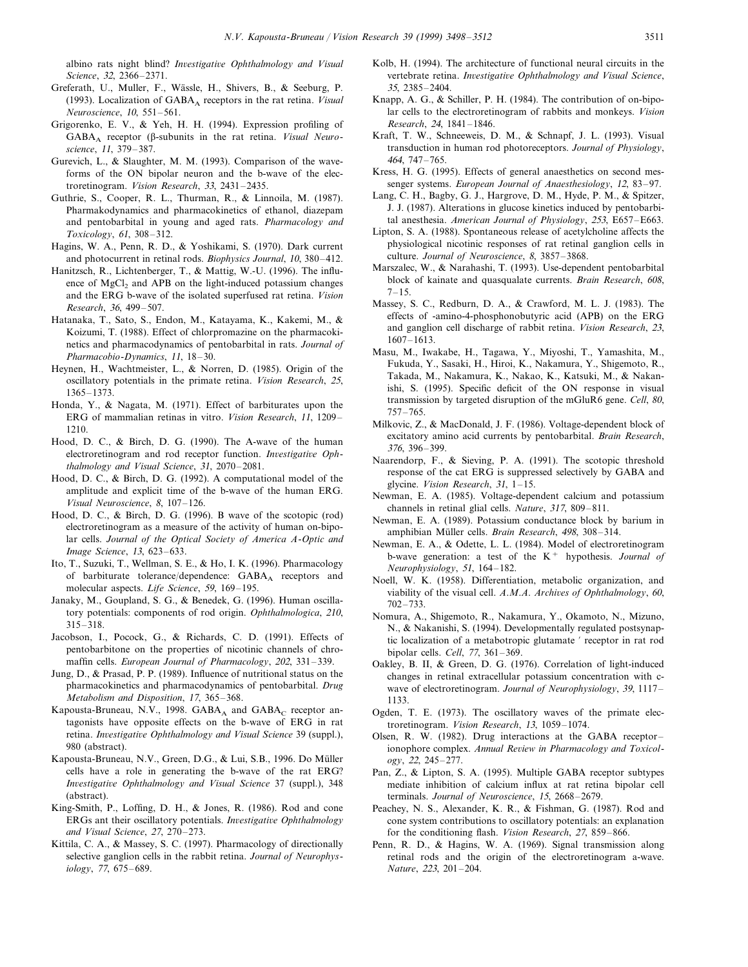albino rats night blind? *Investigative Ophthalmology and Visual Science*, 32, 2366–2371.

- Greferath, U., Muller, F., Wa¨ssle, H., Shivers, B., & Seeburg, P. (1993). Localization of GABA<sub>A</sub> receptors in the rat retina. *Visual Neuroscience*, 10, 551–561.
- Grigorenko, E. V., & Yeh, H. H. (1994). Expression profiling of GABAA receptor (b-subunits in the rat retina. *Visual Neuroscience*, 11, 379–387.
- Gurevich, L., & Slaughter, M. M. (1993). Comparison of the waveforms of the ON bipolar neuron and the b-wave of the electroretinogram. *Vision Research*, 33, 2431–2435.
- Guthrie, S., Cooper, R. L., Thurman, R., & Linnoila, M. (1987). Pharmakodynamics and pharmacokinetics of ethanol, diazepam and pentobarbital in young and aged rats. *Pharmacology and Toxicology*, 61, 308–312.
- Hagins, W. A., Penn, R. D., & Yoshikami, S. (1970). Dark current and photocurrent in retinal rods. *Biophysics Journal*, 10, 380–412.
- Hanitzsch, R., Lichtenberger, T., & Mattig, W.-U. (1996). The influence of MgCl<sub>2</sub> and APB on the light-induced potassium changes and the ERG b-wave of the isolated superfused rat retina. *Vision Research*, 36, 499–507.
- Hatanaka, T., Sato, S., Endon, M., Katayama, K., Kakemi, M., & Koizumi, T. (1988). Effect of chlorpromazine on the pharmacokinetics and pharmacodynamics of pentobarbital in rats. *Journal of Pharmacobio*-*Dynamics*, 11, 18–30.
- Heynen, H., Wachtmeister, L., & Norren, D. (1985). Origin of the oscillatory potentials in the primate retina. *Vision Research*, 25, 1365–1373.
- Honda, Y., & Nagata, M. (1971). Effect of barbiturates upon the ERG of mammalian retinas in vitro. *Vision Research*, 11, 1209– 1210.
- Hood, D. C., & Birch, D. G. (1990). The A-wave of the human electroretinogram and rod receptor function. *Investigative Ophthalmology and Visual Science*, 31, 2070–2081.
- Hood, D. C., & Birch, D. G. (1992). A computational model of the amplitude and explicit time of the b-wave of the human ERG. *Visual Neuroscience*, 8, 107–126.
- Hood, D. C., & Birch, D. G. (1996). B wave of the scotopic (rod) electroretinogram as a measure of the activity of human on-bipolar cells. *Journal of the Optical Society of America A*-*Optic and Image Science*, 13, 623–633.
- Ito, T., Suzuki, T., Wellman, S. E., & Ho, I. K. (1996). Pharmacology of barbiturate tolerance/dependence: GABA<sub>A</sub> receptors and molecular aspects. *Life Science*, 59, 169–195.
- Janaky, M., Goupland, S. G., & Benedek, G. (1996). Human oscillatory potentials: components of rod origin. *Ophthalmologica*, 210, 315–318.
- Jacobson, I., Pocock, G., & Richards, C. D. (1991). Effects of pentobarbitone on the properties of nicotinic channels of chromaffin cells. *European Journal of Pharmacology*, 202, 331–339.
- Jung, D., & Prasad, P. P. (1989). Influence of nutritional status on the pharmacokinetics and pharmacodynamics of pentobarbital. *Drug Metabolism and Disposition*, 17, 365–368.
- Kapousta-Bruneau, N.V., 1998.  $GABA_A$  and  $GABA_C$  receptor antagonists have opposite effects on the b-wave of ERG in rat retina. *Investigative Ophthalmology and Visual Science* 39 (suppl.), 980 (abstract).
- Kapousta-Bruneau, N.V., Green, D.G., & Lui, S.B., 1996. Do Müller cells have a role in generating the b-wave of the rat ERG? *Investigative Ophthalmology and Visual Science* 37 (suppl.), 348 (abstract).
- King-Smith, P., Loffing, D. H., & Jones, R. (1986). Rod and cone ERGs ant their oscillatory potentials. *Investigative Ophthalmology and Visual Science*, 27, 270–273.
- Kittila, C. A., & Massey, S. C. (1997). Pharmacology of directionally selective ganglion cells in the rabbit retina. *Journal of Neurophysiology*, <sup>77</sup>, 675–689.
- Kolb, H. (1994). The architecture of functional neural circuits in the vertebrate retina. *Investigative Ophthalmology and Visual Science*, 35, 2385–2404.
- Knapp, A. G., & Schiller, P. H. (1984). The contribution of on-bipolar cells to the electroretinogram of rabbits and monkeys. *Vision Research*, <sup>24</sup>, 1841–1846.
- Kraft, T. W., Schneeweis, D. M., & Schnapf, J. L. (1993). Visual transduction in human rod photoreceptors. *Journal of Physiology*, 464, 747–765.
- Kress, H. G. (1995). Effects of general anaesthetics on second messenger systems. *European Journal of Anaesthesiology*, 12, 83–97.
- Lang, C. H., Bagby, G. J., Hargrove, D. M., Hyde, P. M., & Spitzer, J. J. (1987). Alterations in glucose kinetics induced by pentobarbital anesthesia. *American Journal of Physiology*, 253, E657–E663.
- Lipton, S. A. (1988). Spontaneous release of acetylcholine affects the physiological nicotinic responses of rat retinal ganglion cells in culture. *Journal of Neuroscience*, 8, 3857–3868.
- Marszalec, W., & Narahashi, T. (1993). Use-dependent pentobarbital block of kainate and quasqualate currents. *Brain Research*, 608,  $7 - 15$
- Massey, S. C., Redburn, D. A., & Crawford, M. L. J. (1983). The effects of -amino-4-phosphonobutyric acid (APB) on the ERG and ganglion cell discharge of rabbit retina. *Vision Research*, 23, 1607–1613.
- Masu, M., Iwakabe, H., Tagawa, Y., Miyoshi, T., Yamashita, M., Fukuda, Y., Sasaki, H., Hiroi, K., Nakamura, Y., Shigemoto, R., Takada, M., Nakamura, K., Nakao, K., Katsuki, M., & Nakanishi, S. (1995). Specific deficit of the ON response in visual transmission by targeted disruption of the mGluR6 gene. *Cell*, 80, 757–765.
- Milkovic, Z., & MacDonald, J. F. (1986). Voltage-dependent block of excitatory amino acid currents by pentobarbital. *Brain Research*, 376, 396–399.
- Naarendorp, F., & Sieving, P. A. (1991). The scotopic threshold response of the cat ERG is suppressed selectively by GABA and glycine. *Vision Research*, 31, 1–15.
- Newman, E. A. (1985). Voltage-dependent calcium and potassium channels in retinal glial cells. *Nature*, 317, 809–811.
- Newman, E. A. (1989). Potassium conductance block by barium in amphibian Müller cells. *Brain Research*, 498, 308-314.
- Newman, E. A., & Odette, L. L. (1984). Model of electroretinogram b-wave generation: a test of the K<sup>+</sup> hypothesis. *Journal of Neurophysiology*, 51, 164–182.
- Noell, W. K. (1958). Differentiation, metabolic organization, and viability of the visual cell. *A.M.A. Archives of Ophthalmology*, 60, 702–733.
- Nomura, A., Shigemoto, R., Nakamura, Y., Okamoto, N., Mizuno, N., & Nakanishi, S. (1994). Developmentally regulated postsynaptic localization of a metabotropic glutamate ' receptor in rat rod bipolar cells. *Cell*, <sup>77</sup>, 361–369.
- Oakley, B. II, & Green, D. G. (1976). Correlation of light-induced changes in retinal extracellular potassium concentration with cwave of electroretinogram. *Journal of Neurophysiology*, 39, 1117– 1133.
- Ogden, T. E. (1973). The oscillatory waves of the primate electroretinogram. *Vision Research*, 13, 1059–1074.
- Olsen, R. W. (1982). Drug interactions at the GABA receptor– ionophore complex. Annual Review in Pharmacology and Toxicol*ogy*, <sup>22</sup>, 245–277.
- Pan, Z., & Lipton, S. A. (1995). Multiple GABA receptor subtypes mediate inhibition of calcium influx at rat retina bipolar cell terminals. *Journal of Neuroscience*, 15, 2668–2679.
- Peachey, N. S., Alexander, K. R., & Fishman, G. (1987). Rod and cone system contributions to oscillatory potentials: an explanation for the conditioning flash. *Vision Research*, 27, 859–866.
- Penn, R. D., & Hagins, W. A. (1969). Signal transmission along retinal rods and the origin of the electroretinogram a-wave. *Nature*, 223, 201–204.